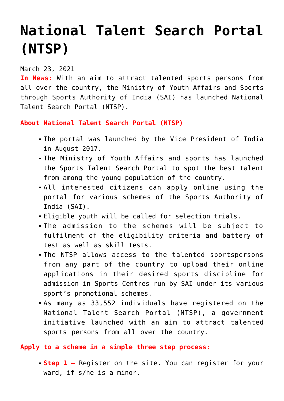## **[National Talent Search Portal](https://journalsofindia.com/national-talent-search-portal-ntsp/) [\(NTSP\)](https://journalsofindia.com/national-talent-search-portal-ntsp/)**

## March 23, 2021

**In News:** With an aim to attract talented sports persons from all over the country, the Ministry of Youth Affairs and Sports through Sports Authority of India (SAI) has launched National Talent Search Portal (NTSP).

## **About National Talent Search Portal (NTSP)**

- The portal was launched by the Vice President of India in August 2017.
- The Ministry of Youth Affairs and sports has launched the Sports Talent Search Portal to spot the best talent from among the young population of the country.
- All interested citizens can apply online using the portal for various schemes of the Sports Authority of India (SAI).
- Eligible youth will be called for selection trials.
- The admission to the schemes will be subject to fulfilment of the eligibility criteria and battery of test as well as skill tests.
- The NTSP allows access to the talented sportspersons from any part of the country to upload their online applications in their desired sports discipline for admission in Sports Centres run by SAI under its various sport's promotional schemes.
- As many as 33,552 individuals have registered on the National Talent Search Portal (NTSP), a government initiative launched with an aim to attract talented sports persons from all over the country.

## **Apply to a scheme in a simple three step process:**

**Step 1 –** Register on the site. You can register for your ward, if s/he is a minor.